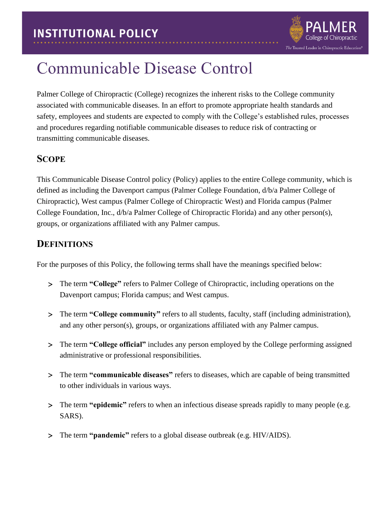

# Communicable Disease Control

Palmer College of Chiropractic (College) recognizes the inherent risks to the College community associated with communicable diseases. In an effort to promote appropriate health standards and safety, employees and students are expected to comply with the College's established rules, processes and procedures regarding notifiable communicable diseases to reduce risk of contracting or transmitting communicable diseases.

### **SCOPE**

This Communicable Disease Control policy (Policy) applies to the entire College community, which is defined as including the Davenport campus (Palmer College Foundation, d/b/a Palmer College of Chiropractic), West campus (Palmer College of Chiropractic West) and Florida campus (Palmer College Foundation, Inc., d/b/a Palmer College of Chiropractic Florida) and any other person(s), groups, or organizations affiliated with any Palmer campus.

#### **DEFINITIONS**

For the purposes of this Policy, the following terms shall have the meanings specified below:

- The term **"College"** refers to Palmer College of Chiropractic, including operations on the Davenport campus; Florida campus; and West campus.
- The term **"College community"** refers to all students, faculty, staff (including administration), and any other person(s), groups, or organizations affiliated with any Palmer campus.
- The term **"College official"** includes any person employed by the College performing assigned administrative or professional responsibilities.
- The term **"communicable diseases"** refers to diseases, which are capable of being transmitted to other individuals in various ways.
- The term **"epidemic"** refers to when an infectious disease spreads rapidly to many people (e.g. SARS).
- The term **"pandemic"** refers to a global disease outbreak (e.g. HIV/AIDS).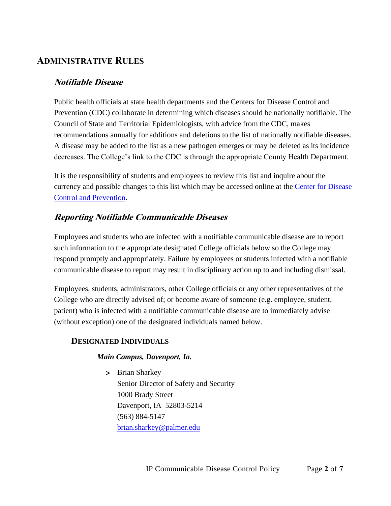### **ADMINISTRATIVE RULES**

#### **Notifiable Disease**

Public health officials at state health departments and the Centers for Disease Control and Prevention (CDC) collaborate in determining which diseases should be nationally notifiable. The Council of State and Territorial Epidemiologists, with advice from the CDC, makes recommendations annually for additions and deletions to the list of nationally notifiable diseases. A disease may be added to the list as a new pathogen emerges or may be deleted as its incidence decreases. The College's link to the CDC is through the appropriate County Health Department.

It is the responsibility of students and employees to review this list and inquire about the currency and possible changes to this list which may be accessed online at the [Center for Disease](https://wwwn.cdc.gov/nndss/)  [Control and Prevention.](https://wwwn.cdc.gov/nndss/)

#### **Reporting Notifiable Communicable Diseases**

Employees and students who are infected with a notifiable communicable disease are to report such information to the appropriate designated College officials below so the College may respond promptly and appropriately. Failure by employees or students infected with a notifiable communicable disease to report may result in disciplinary action up to and including dismissal.

Employees, students, administrators, other College officials or any other representatives of the College who are directly advised of; or become aware of someone (e.g. employee, student, patient) who is infected with a notifiable communicable disease are to immediately advise (without exception) one of the designated individuals named below.

#### <span id="page-1-0"></span>**DESIGNATED INDIVIDUALS**

#### *Main Campus, Davenport, Ia.*

> Brian Sharkey Senior Director of Safety and Security 1000 Brady Street Davenport, IA 52803-5214 (563) 884-5147 [brian.sharkey@palmer.edu](mailto:brian.sharkey@palmer.edu)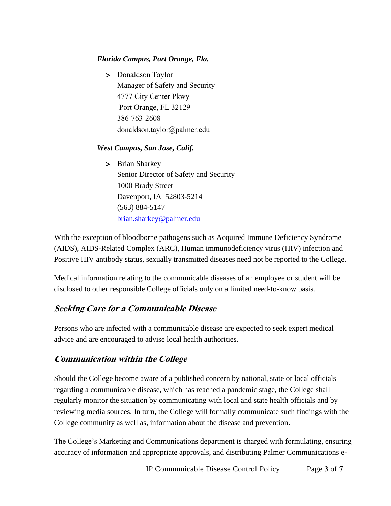#### *Florida Campus, Port Orange, Fla.*

> Donaldson Taylor Manager of Safety and Security 4777 City Center Pkwy Port Orange, FL 32129 386-763-2608 [donaldson.taylor@palmer.e](mailto:brian.sharkey@palmer.edu)du

#### *West Campus, San Jose, Calif.*

> Brian Sharkey Senior Director of Safety and Security 1000 Brady Street Davenport, IA 52803-5214 (563) 884-5147 [brian.sharkey@palmer.edu](mailto:brian.sharkey@palmer.edu)

With the exception of bloodborne pathogens such as Acquired Immune Deficiency Syndrome (AIDS), AIDS-Related Complex (ARC), Human immunodeficiency virus (HIV) infection and Positive HIV antibody status, sexually transmitted diseases need not be reported to the College.

Medical information relating to the communicable diseases of an employee or student will be disclosed to other responsible College officials only on a limited need-to-know basis.

#### **Seeking Care for a Communicable Disease**

Persons who are infected with a communicable disease are expected to seek expert medical advice and are encouraged to advise local health authorities.

#### **Communication within the College**

Should the College become aware of a published concern by national, state or local officials regarding a communicable disease, which has reached a pandemic stage, the College shall regularly monitor the situation by communicating with local and state health officials and by reviewing media sources. In turn, the College will formally communicate such findings with the College community as well as, information about the disease and prevention.

The College's Marketing and Communications department is charged with formulating, ensuring accuracy of information and appropriate approvals, and distributing Palmer Communications e-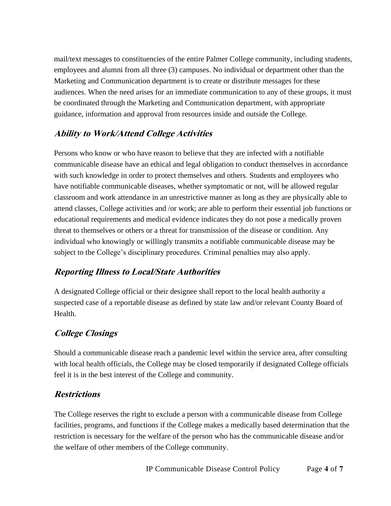mail/text messages to constituencies of the entire Palmer College community, including students, employees and alumni from all three (3) campuses. No individual or department other than the Marketing and Communication department is to create or distribute messages for these audiences. When the need arises for an immediate communication to any of these groups, it must be coordinated through the Marketing and Communication department, with appropriate guidance, information and approval from resources inside and outside the College.

### **Ability to Work/Attend College Activities**

Persons who know or who have reason to believe that they are infected with a notifiable communicable disease have an ethical and legal obligation to conduct themselves in accordance with such knowledge in order to protect themselves and others. Students and employees who have notifiable communicable diseases, whether symptomatic or not, will be allowed regular classroom and work attendance in an unrestrictive manner as long as they are physically able to attend classes, College activities and /or work; are able to perform their essential job functions or educational requirements and medical evidence indicates they do not pose a medically proven threat to themselves or others or a threat for transmission of the disease or condition. Any individual who knowingly or willingly transmits a notifiable communicable disease may be subject to the College's disciplinary procedures. Criminal penalties may also apply.

## **Reporting Illness to Local/State Authorities**

A designated College official or their designee shall report to the local health authority a suspected case of a reportable disease as defined by state law and/or relevant County Board of Health.

## **College Closings**

Should a communicable disease reach a pandemic level within the service area, after consulting with local health officials, the College may be closed temporarily if designated College officials feel it is in the best interest of the College and community.

#### **Restrictions**

The College reserves the right to exclude a person with a communicable disease from College facilities, programs, and functions if the College makes a medically based determination that the restriction is necessary for the welfare of the person who has the communicable disease and/or the welfare of other members of the College community.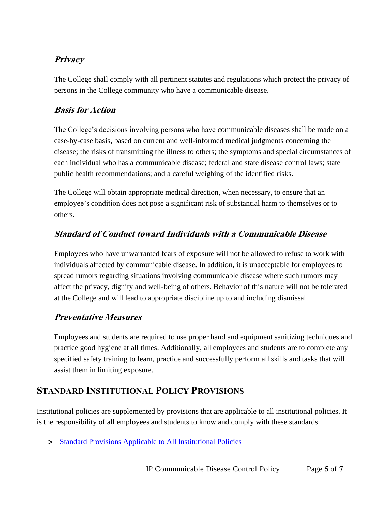## **Privacy**

The College shall comply with all pertinent statutes and regulations which protect the privacy of persons in the College community who have a communicable disease.

### **Basis for Action**

The College's decisions involving persons who have communicable diseases shall be made on a case-by-case basis, based on current and well-informed medical judgments concerning the disease; the risks of transmitting the illness to others; the symptoms and special circumstances of each individual who has a communicable disease; federal and state disease control laws; state public health recommendations; and a careful weighing of the identified risks.

The College will obtain appropriate medical direction, when necessary, to ensure that an employee's condition does not pose a significant risk of substantial harm to themselves or to others.

#### **Standard of Conduct toward Individuals with a Communicable Disease**

Employees who have unwarranted fears of exposure will not be allowed to refuse to work with individuals affected by communicable disease. In addition, it is unacceptable for employees to spread rumors regarding situations involving communicable disease where such rumors may affect the privacy, dignity and well-being of others. Behavior of this nature will not be tolerated at the College and will lead to appropriate discipline up to and including dismissal.

#### **Preventative Measures**

Employees and students are required to use proper hand and equipment sanitizing techniques and practice good hygiene at all times. Additionally, all employees and students are to complete any specified safety training to learn, practice and successfully perform all skills and tasks that will assist them in limiting exposure.

## **STANDARD INSTITUTIONAL POLICY PROVISIONS**

Institutional policies are supplemented by provisions that are applicable to all institutional policies. It is the responsibility of all employees and students to know and comply with these standards.

> [Standard Provisions Applicable to All Institutional Policies](http://www.palmer.edu/uploadedFiles/Pages/Students/Resources_and_Offices/Handbook_and_Policies/_pdf/Standard-Provisions-Applicable-to-All-Institutional-Policies.pdf)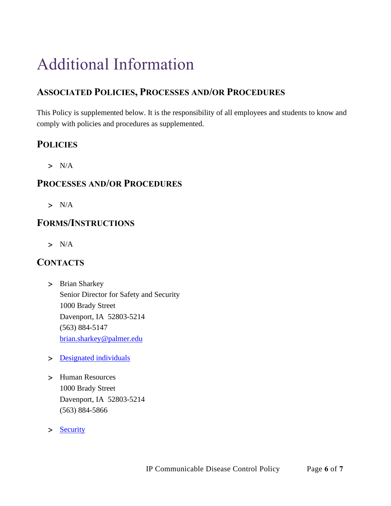# Additional Information

# **ASSOCIATED POLICIES, PROCESSES AND/OR PROCEDURES**

This Policy is supplemented below. It is the responsibility of all employees and students to know and comply with policies and procedures as supplemented.

## **POLICIES**

 $> N/A$ 

#### **PROCESSES AND/OR PROCEDURES**

 $> N/A$ 

## **FORMS/INSTRUCTIONS**

 $> N/A$ 

## **CONTACTS**

- > Brian Sharkey Senior Director for Safety and Security 1000 Brady Street Davenport, IA 52803-5214 (563) 884-5147 [brian.sharkey@palmer.edu](mailto:brian.sharkey@palmer.edu)
- > [Designated individuals](#page-1-0)
- Human Resources 1000 Brady Street Davenport, IA 52803-5214 (563) 884-5866
- > [Security](http://www.palmer.edu/students/resources-offices/security/report-crime/)